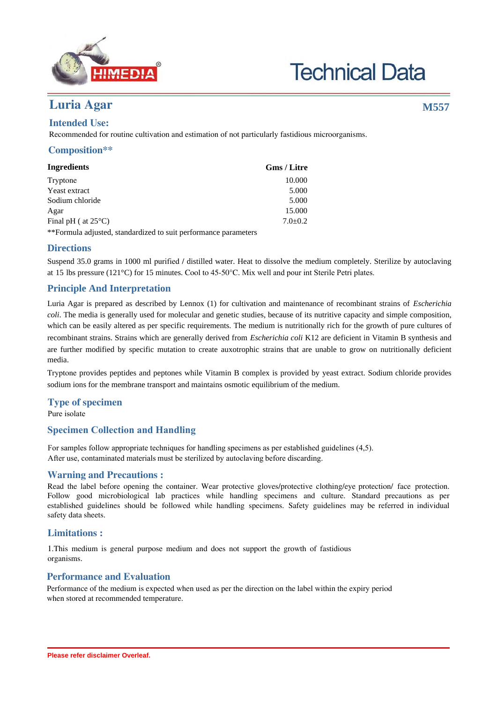

# **Technical Data**

## **Luria Agar M557**

## **Intended Use:**

Recommended for routine cultivation and estimation of not particularly fastidious microorganisms.

## **Composition\*\***

| Ingredients                   | <b>Gms</b> / Litre |
|-------------------------------|--------------------|
| Tryptone                      | 10.000             |
| Yeast extract                 | 5.000              |
| Sodium chloride               | 5.000              |
| Agar                          | 15.000             |
| Final pH ( at $25^{\circ}$ C) | $7.0 \pm 0.2$      |

\*\*Formula adjusted, standardized to suit performance parameters

## **Directions**

Suspend 35.0 grams in 1000 ml purified / distilled water. Heat to dissolve the medium completely. Sterilize by autoclaving at 15 lbs pressure (121°C) for 15 minutes. Cool to 45-50°C. Mix well and pour int Sterile Petri plates.

## **Principle And Interpretation**

Luria Agar is prepared as described by Lennox (1) for cultivation and maintenance of recombinant strains of *Escherichia coli*. The media is generally used for molecular and genetic studies, because of its nutritive capacity and simple composition, which can be easily altered as per specific requirements. The medium is nutritionally rich for the growth of pure cultures of recombinant strains. Strains which are generally derived from *Escherichia coli* K12 are deficient in Vitamin B synthesis and are further modified by specific mutation to create auxotrophic strains that are unable to grow on nutritionally deficient media.

Tryptone provides peptides and peptones while Vitamin B complex is provided by yeast extract. Sodium chloride provides sodium ions for the membrane transport and maintains osmotic equilibrium of the medium.

## **Type of specimen**

Pure isolate

## **Specimen Collection and Handling:**

For samples follow appropriate techniques for handling specimens as per established guidelines (4,5). After use, contaminated materials must be sterilized by autoclaving before discarding.

## **Warning and Precautions :**

Read the label before opening the container. Wear protective gloves/protective clothing/eye protection/ face protection. Follow good microbiological lab practices while handling specimens and culture. Standard precautions as per established guidelines should be followed while handling specimens. Safety guidelines may be referred in individual safety data sheets.

## **Limitations :**

1.This medium is general purpose medium and does not support the growth of fastidious organisms.

## **Performance and Evaluation**

Performance of the medium is expected when used as per the direction on the label within the expiry period when stored at recommended temperature.